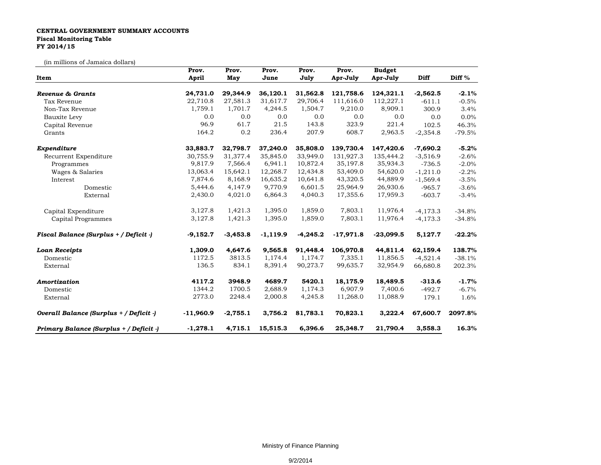## **CENTRAL GOVERNMENT SUMMARY ACCOUNTS Fiscal Monitoring Table FY 2014/15**

(in millions of Jamaica dollars)

| Item                                    | Prov.       | Prov.      | Prov.      | Prov.      | Prov.       | <b>Budget</b> |            |          |
|-----------------------------------------|-------------|------------|------------|------------|-------------|---------------|------------|----------|
|                                         | April       | May        | June       | July       | Apr-July    | Apr-July      | Diff       | Diff %   |
| Revenue & Grants                        | 24,731.0    | 29,344.9   | 36,120.1   | 31,562.8   | 121,758.6   | 124,321.1     | $-2,562.5$ | $-2.1%$  |
| Tax Revenue                             | 22,710.8    | 27,581.3   | 31,617.7   | 29,706.4   | 111,616.0   | 112,227.1     | $-611.1$   | $-0.5%$  |
| Non-Tax Revenue                         | 1,759.1     | 1,701.7    | 4,244.5    | 1,504.7    | 9,210.0     | 8,909.1       | 300.9      | 3.4%     |
| Bauxite Levy                            | 0.0         | 0.0        | 0.0        | 0.0        | 0.0         | 0.0           | 0.0        | 0.0%     |
| Capital Revenue                         | 96.9        | 61.7       | 21.5       | 143.8      | 323.9       | 221.4         | 102.5      | 46.3%    |
| Grants                                  | 164.2       | 0.2        | 236.4      | 207.9      | 608.7       | 2,963.5       | $-2,354.8$ | $-79.5%$ |
| Expenditure                             | 33,883.7    | 32,798.7   | 37,240.0   | 35,808.0   | 139,730.4   | 147,420.6     | $-7,690.2$ | $-5.2%$  |
| Recurrent Expenditure                   | 30,755.9    | 31,377.4   | 35,845.0   | 33,949.0   | 131,927.3   | 135,444.2     | $-3,516.9$ | $-2.6%$  |
| Programmes                              | 9,817.9     | 7,566.4    | 6,941.1    | 10,872.4   | 35,197.8    | 35,934.3      | $-736.5$   | $-2.0%$  |
| Wages & Salaries                        | 13,063.4    | 15,642.1   | 12,268.7   | 12,434.8   | 53,409.0    | 54,620.0      | $-1,211.0$ | $-2.2%$  |
| Interest                                | 7,874.6     | 8,168.9    | 16,635.2   | 10,641.8   | 43,320.5    | 44,889.9      | $-1,569.4$ | $-3.5%$  |
| Domestic                                | 5,444.6     | 4,147.9    | 9,770.9    | 6,601.5    | 25,964.9    | 26,930.6      | $-965.7$   | $-3.6%$  |
| External                                | 2,430.0     | 4,021.0    | 6,864.3    | 4,040.3    | 17,355.6    | 17,959.3      | $-603.7$   | $-3.4%$  |
| Capital Expenditure                     | 3,127.8     | 1,421.3    | 1,395.0    | 1,859.0    | 7,803.1     | 11,976.4      | $-4,173.3$ | $-34.8%$ |
| Capital Programmes                      | 3,127.8     | 1,421.3    | 1,395.0    | 1,859.0    | 7,803.1     | 11,976.4      | $-4,173.3$ | $-34.8%$ |
| Fiscal Balance (Surplus + / Deficit -)  | $-9,152.7$  | $-3,453.8$ | $-1,119.9$ | $-4,245.2$ | $-17,971.8$ | $-23,099.5$   | 5,127.7    | $-22.2%$ |
| <b>Loan Receipts</b>                    | 1,309.0     | 4,647.6    | 9,565.8    | 91,448.4   | 106,970.8   | 44,811.4      | 62,159.4   | 138.7%   |
| Domestic                                | 1172.5      | 3813.5     | 1,174.4    | 1,174.7    | 7,335.1     | 11,856.5      | $-4,521.4$ | $-38.1%$ |
| External                                | 136.5       | 834.1      | 8,391.4    | 90,273.7   | 99,635.7    | 32,954.9      | 66,680.8   | 202.3%   |
| Amortization                            | 4117.2      | 3948.9     | 4689.7     | 5420.1     | 18,175.9    | 18,489.5      | $-313.6$   | $-1.7%$  |
| Domestic                                | 1344.2      | 1700.5     | 2,688.9    | 1,174.3    | 6,907.9     | 7,400.6       | $-492.7$   | $-6.7%$  |
| External                                | 2773.0      | 2248.4     | 2,000.8    | 4,245.8    | 11,268.0    | 11,088.9      | 179.1      | 1.6%     |
| Overall Balance (Surplus + / Deficit -) | $-11,960.9$ | $-2,755.1$ | 3,756.2    | 81,783.1   | 70,823.1    | 3,222.4       | 67,600.7   | 2097.8%  |
| Primary Balance (Surplus + / Deficit -) | $-1,278.1$  | 4,715.1    | 15,515.3   | 6,396.6    | 25,348.7    | 21,790.4      | 3,558.3    | 16.3%    |